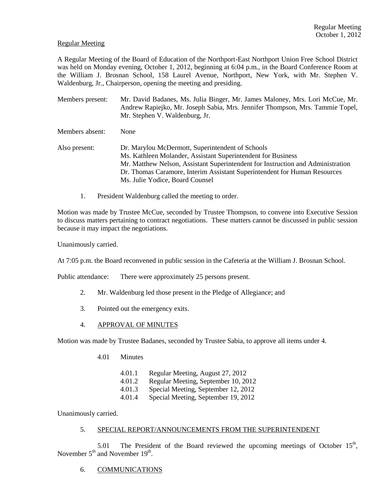### Regular Meeting

A Regular Meeting of the Board of Education of the Northport-East Northport Union Free School District was held on Monday evening, October 1, 2012, beginning at 6:04 p.m., in the Board Conference Room at the William J. Brosnan School, 158 Laurel Avenue, Northport, New York, with Mr. Stephen V. Waldenburg, Jr., Chairperson, opening the meeting and presiding.

- Members present: Mr. David Badanes, Ms. Julia Binger, Mr. James Maloney, Mrs. Lori McCue, Mr. Andrew Rapiejko, Mr. Joseph Sabia, Mrs. Jennifer Thompson, Mrs. Tammie Topel, Mr. Stephen V. Waldenburg, Jr.
- Members absent: None
- Also present: Dr. Marylou McDermott, Superintendent of Schools Ms. Kathleen Molander, Assistant Superintendent for Business Mr. Matthew Nelson, Assistant Superintendent for Instruction and Administration Dr. Thomas Caramore, Interim Assistant Superintendent for Human Resources Ms. Julie Yodice, Board Counsel
	- 1. President Waldenburg called the meeting to order.

Motion was made by Trustee McCue, seconded by Trustee Thompson, to convene into Executive Session to discuss matters pertaining to contract negotiations. These matters cannot be discussed in public session because it may impact the negotiations.

Unanimously carried.

At 7:05 p.m. the Board reconvened in public session in the Cafeteria at the William J. Brosnan School.

Public attendance: There were approximately 25 persons present.

- 2. Mr. Waldenburg led those present in the Pledge of Allegiance; and
- 3. Pointed out the emergency exits.
- 4. APPROVAL OF MINUTES

Motion was made by Trustee Badanes, seconded by Trustee Sabia, to approve all items under 4.

- 4.01 Minutes
	- 4.01.1 Regular Meeting, August 27, 2012
	- 4.01.2 Regular Meeting, September 10, 2012
	- 4.01.3 Special Meeting, September 12, 2012
	- 4.01.4 Special Meeting, September 19, 2012

Unanimously carried.

### 5. SPECIAL REPORT/ANNOUNCEMENTS FROM THE SUPERINTENDENT

5.01 The President of the Board reviewed the upcoming meetings of October  $15<sup>th</sup>$ , November  $5<sup>th</sup>$  and November  $19<sup>th</sup>$ .

6. COMMUNICATIONS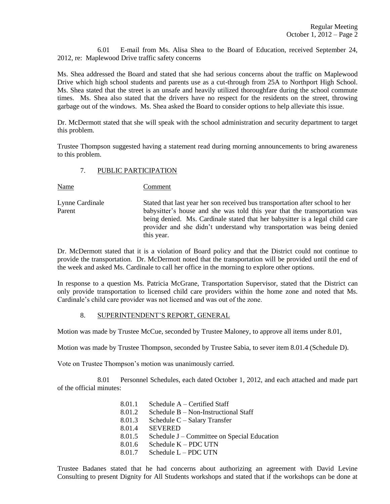6.01 E-mail from Ms. Alisa Shea to the Board of Education, received September 24, 2012, re: Maplewood Drive traffic safety concerns

Ms. Shea addressed the Board and stated that she had serious concerns about the traffic on Maplewood Drive which high school students and parents use as a cut-through from 25A to Northport High School. Ms. Shea stated that the street is an unsafe and heavily utilized thoroughfare during the school commute times. Ms. Shea also stated that the drivers have no respect for the residents on the street, throwing garbage out of the windows. Ms. Shea asked the Board to consider options to help alleviate this issue.

Dr. McDermott stated that she will speak with the school administration and security department to target this problem.

Trustee Thompson suggested having a statement read during morning announcements to bring awareness to this problem.

#### 7. PUBLIC PARTICIPATION

Name Comment

Lynne Cardinale Stated that last year her son received bus transportation after school to her Parent babysitter's house and she was told this year that the transportation was being denied. Ms. Cardinale stated that her babysitter is a legal child care provider and she didn't understand why transportation was being denied this year.

Dr. McDermott stated that it is a violation of Board policy and that the District could not continue to provide the transportation. Dr. McDermott noted that the transportation will be provided until the end of the week and asked Ms. Cardinale to call her office in the morning to explore other options.

In response to a question Ms. Patricia McGrane, Transportation Supervisor, stated that the District can only provide transportation to licensed child care providers within the home zone and noted that Ms. Cardinale's child care provider was not licensed and was out of the zone.

# 8. SUPERINTENDENT'S REPORT, GENERAL

Motion was made by Trustee McCue, seconded by Trustee Maloney, to approve all items under 8.01,

Motion was made by Trustee Thompson, seconded by Trustee Sabia, to sever item 8.01.4 (Schedule D).

Vote on Trustee Thompson's motion was unanimously carried.

8.01 Personnel Schedules, each dated October 1, 2012, and each attached and made part of the official minutes:

> 8.01.1 Schedule A – Certified Staff 8.01.2 Schedule B – Non-Instructional Staff 8.01.3 Schedule C – Salary Transfer 8.01.4 SEVERED 8.01.5 Schedule J – Committee on Special Education 8.01.6 Schedule K – PDC UTN 8.01.7 Schedule L – PDC UTN

Trustee Badanes stated that he had concerns about authorizing an agreement with David Levine Consulting to present Dignity for All Students workshops and stated that if the workshops can be done at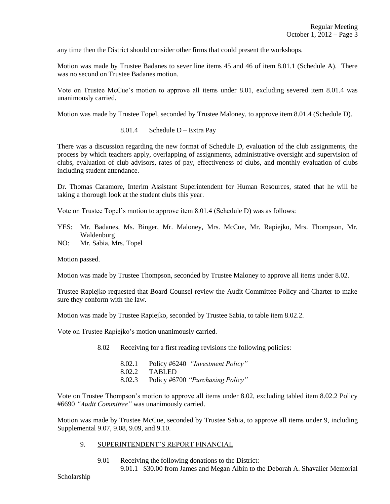any time then the District should consider other firms that could present the workshops.

Motion was made by Trustee Badanes to sever line items 45 and 46 of item 8.01.1 (Schedule A). There was no second on Trustee Badanes motion.

Vote on Trustee McCue's motion to approve all items under 8.01, excluding severed item 8.01.4 was unanimously carried.

Motion was made by Trustee Topel, seconded by Trustee Maloney, to approve item 8.01.4 (Schedule D).

8.01.4 Schedule D – Extra Pay

There was a discussion regarding the new format of Schedule D, evaluation of the club assignments, the process by which teachers apply, overlapping of assignments, administrative oversight and supervision of clubs, evaluation of club advisors, rates of pay, effectiveness of clubs, and monthly evaluation of clubs including student attendance.

Dr. Thomas Caramore, Interim Assistant Superintendent for Human Resources, stated that he will be taking a thorough look at the student clubs this year.

Vote on Trustee Topel's motion to approve item 8.01.4 (Schedule D) was as follows:

- YES: Mr. Badanes, Ms. Binger, Mr. Maloney, Mrs. McCue, Mr. Rapiejko, Mrs. Thompson, Mr. Waldenburg
- NO: Mr. Sabia, Mrs. Topel

Motion passed.

Motion was made by Trustee Thompson, seconded by Trustee Maloney to approve all items under 8.02.

Trustee Rapiejko requested that Board Counsel review the Audit Committee Policy and Charter to make sure they conform with the law.

Motion was made by Trustee Rapiejko, seconded by Trustee Sabia, to table item 8.02.2.

Vote on Trustee Rapiejko's motion unanimously carried.

8.02 Receiving for a first reading revisions the following policies:

8.02.1 Policy #6240 *"Investment Policy"* 8.02.2 TABLED 8.02.3 Policy #6700 *"Purchasing Policy"*

Vote on Trustee Thompson's motion to approve all items under 8.02, excluding tabled item 8.02.2 Policy #6690 *"Audit Committee"* was unanimously carried.

Motion was made by Trustee McCue, seconded by Trustee Sabia, to approve all items under 9, including Supplemental 9.07, 9.08, 9.09, and 9.10.

- 9. SUPERINTENDENT'S REPORT FINANCIAL
	- 9.01 Receiving the following donations to the District: 9.01.1 \$30.00 from James and Megan Albin to the Deborah A. Shavalier Memorial

Scholarship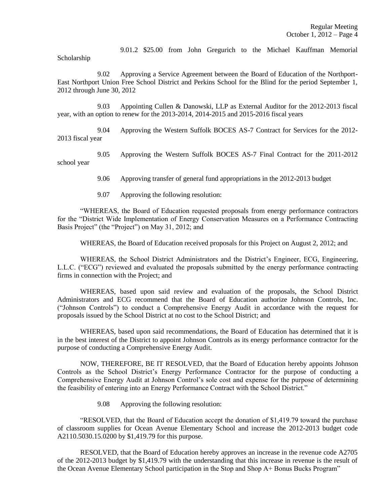9.01.2 \$25.00 from John Gregurich to the Michael Kauffman Memorial

Scholarship

9.02 Approving a Service Agreement between the Board of Education of the Northport-East Northport Union Free School District and Perkins School for the Blind for the period September 1, 2012 through June 30, 2012

9.03 Appointing Cullen & Danowski, LLP as External Auditor for the 2012-2013 fiscal year, with an option to renew for the 2013-2014, 2014-2015 and 2015-2016 fiscal years

9.04 Approving the Western Suffolk BOCES AS-7 Contract for Services for the 2012- 2013 fiscal year

9.05 Approving the Western Suffolk BOCES AS-7 Final Contract for the 2011-2012 school year

9.06 Approving transfer of general fund appropriations in the 2012-2013 budget

9.07 Approving the following resolution:

"WHEREAS, the Board of Education requested proposals from energy performance contractors for the "District Wide Implementation of Energy Conservation Measures on a Performance Contracting Basis Project" (the "Project") on May 31, 2012; and

WHEREAS, the Board of Education received proposals for this Project on August 2, 2012; and

WHEREAS, the School District Administrators and the District's Engineer, ECG, Engineering, L.L.C. ("ECG") reviewed and evaluated the proposals submitted by the energy performance contracting firms in connection with the Project; and

WHEREAS, based upon said review and evaluation of the proposals, the School District Administrators and ECG recommend that the Board of Education authorize Johnson Controls, Inc. ("Johnson Controls") to conduct a Comprehensive Energy Audit in accordance with the request for proposals issued by the School District at no cost to the School District; and

WHEREAS, based upon said recommendations, the Board of Education has determined that it is in the best interest of the District to appoint Johnson Controls as its energy performance contractor for the purpose of conducting a Comprehensive Energy Audit.

NOW, THEREFORE, BE IT RESOLVED, that the Board of Education hereby appoints Johnson Controls as the School District's Energy Performance Contractor for the purpose of conducting a Comprehensive Energy Audit at Johnson Control's sole cost and expense for the purpose of determining the feasibility of entering into an Energy Performance Contract with the School District."

9.08 Approving the following resolution:

"RESOLVED, that the Board of Education accept the donation of \$1,419.79 toward the purchase of classroom supplies for Ocean Avenue Elementary School and increase the 2012-2013 budget code A2110.5030.15.0200 by \$1,419.79 for this purpose.

RESOLVED, that the Board of Education hereby approves an increase in the revenue code A2705 of the 2012-2013 budget by \$1,419.79 with the understanding that this increase in revenue is the result of the Ocean Avenue Elementary School participation in the Stop and Shop A+ Bonus Bucks Program"